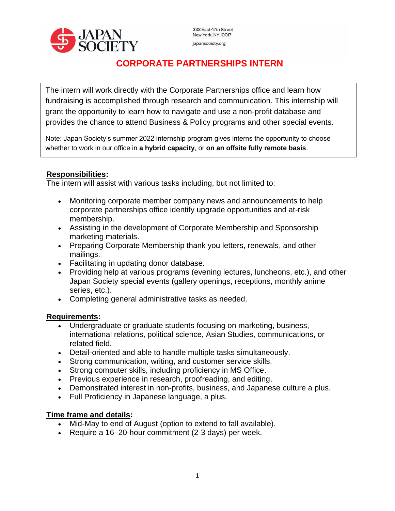

333 East 47th Street New York, NY 10017 japansociety.org

# **CORPORATE PARTNERSHIPS INTERN**

The intern will work directly with the Corporate Partnerships office and learn how fundraising is accomplished through research and communication. This internship will grant the opportunity to learn how to navigate and use a non-profit database and provides the chance to attend Business & Policy programs and other special events.

Note: Japan Society's summer 2022 internship program gives interns the opportunity to choose whether to work in our office in **a hybrid capacity**, or **on an offsite fully remote basis**.

## **Responsibilities:**

The intern will assist with various tasks including, but not limited to:

- Monitoring corporate member company news and announcements to help corporate partnerships office identify upgrade opportunities and at-risk membership.
- Assisting in the development of Corporate Membership and Sponsorship marketing materials.
- Preparing Corporate Membership thank you letters, renewals, and other mailings.
- Facilitating in updating donor database.
- Providing help at various programs (evening lectures, luncheons, etc.), and other Japan Society special events (gallery openings, receptions, monthly anime series, etc.).
- Completing general administrative tasks as needed.

#### **Requirements:**

- Undergraduate or graduate students focusing on marketing, business, international relations, political science, Asian Studies, communications, or related field.
- Detail-oriented and able to handle multiple tasks simultaneously.
- Strong communication, writing, and customer service skills.
- Strong computer skills, including proficiency in MS Office.
- Previous experience in research, proofreading, and editing.
- Demonstrated interest in non-profits, business, and Japanese culture a plus.
- Full Proficiency in Japanese language, a plus.

#### **Time frame and details:**

- Mid-May to end of August (option to extend to fall available).
- Require a 16–20-hour commitment (2-3 days) per week.